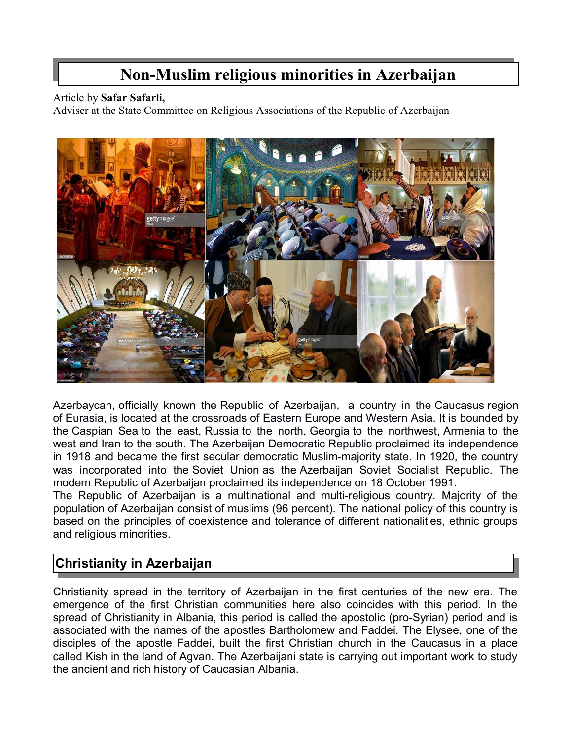# **Non-Muslim religious minorities in Azerbaijan**

#### Article by **Safar Safarli,**

Adviser at the State Committee on Religious Associations of the Republic of Azerbaijan



Azərbaycan, officially known the Republic of Azerbaijan, a country in the [Caucasus](https://en.wikipedia.org/wiki/Transcaucasia) region of [Eurasia,](https://en.wikipedia.org/wiki/Eurasia) is located at the crossroads of [Eastern Europe](https://en.wikipedia.org/wiki/Eastern_Europe) and [Western Asia.](https://en.wikipedia.org/wiki/Western_Asia) It is bounded by the [Caspian Sea](https://en.wikipedia.org/wiki/Caspian_Sea) to the east, [Russia](https://en.wikipedia.org/wiki/Russia) to the north, [Georgia](https://en.wikipedia.org/wiki/Georgia_(country)) to the northwest, [Armenia](https://en.wikipedia.org/wiki/Armenia) to the west and [Iran](https://en.wikipedia.org/wiki/Iran) to the south. The [Azerbaijan Democratic Republic](https://en.wikipedia.org/wiki/Azerbaijan_Democratic_Republic) proclaimed its independence in 1918 and became the first secular democratic Muslim-majority state. In 1920, the country was incorporated into the [Soviet Union](https://en.wikipedia.org/wiki/Soviet_Union) as the [Azerbaijan Soviet Socialist Republic.](https://en.wikipedia.org/wiki/Azerbaijan_Soviet_Socialist_Republic) The modern Republic of Azerbaijan proclaimed its independence on 18 October 1991.

The Republic of Azerbaijan is a multinational and multi-religious country. Majority of the population of Azerbaijan consist of muslims (96 percent). The national policy of this country is based on the principles of coexistence and tolerance of different nationalities, ethnic groups and religious minorities.

# **Christianity in Azerbaijan**

Christianity spread in the territory of Azerbaijan in the first centuries of the new era. The emergence of the first Christian communities here also coincides with this period. In the spread of Christianity in Albania, this period is called the apostolic (pro-Syrian) period and is associated with the names of the apostles Bartholomew and Faddei. The Elysee, one of the disciples of the apostle Faddei, built the first Christian church in the Caucasus in a place called Kish in the land of Agvan. The Azerbaijani state is carrying out important work to study the ancient and rich history of Caucasian Albania.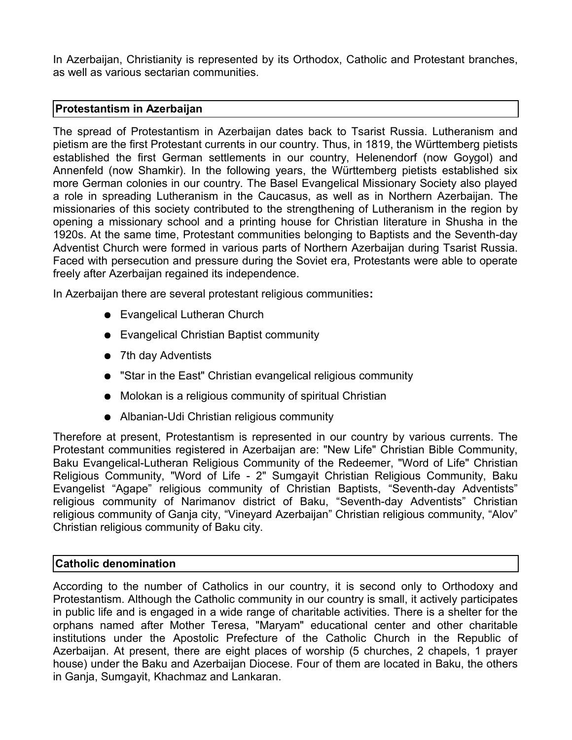In Azerbaijan, Christianity is represented by its Orthodox, Catholic and Protestant branches, as well as various sectarian communities.

### **Protestantism in Azerbaijan**

The spread of Protestantism in Azerbaijan dates back to Tsarist Russia. Lutheranism and pietism are the first Protestant currents in our country. Thus, in 1819, the Württemberg pietists established the first German settlements in our country, Helenendorf (now Goygol) and Annenfeld (now Shamkir). In the following years, the Württemberg pietists established six more German colonies in our country. The Basel Evangelical Missionary Society also played a role in spreading Lutheranism in the Caucasus, as well as in Northern Azerbaijan. The missionaries of this society contributed to the strengthening of Lutheranism in the region by opening a missionary school and a printing house for Christian literature in Shusha in the 1920s. At the same time, Protestant communities belonging to Baptists and the Seventh-day Adventist Church were formed in various parts of Northern Azerbaijan during Tsarist Russia. Faced with persecution and pressure during the Soviet era, Protestants were able to operate freely after Azerbaijan regained its independence.

In Azerbaijan there are several protestant religious communities**:**

- Evangelical Lutheran Church
- Evangelical Christian Baptist community
- 7th day Adventists
- "Star in the East" Christian evangelical religious community
- Molokan is a religious community of spiritual Christian
- Albanian-Udi Christian religious community

Therefore at present, Protestantism is represented in our country by various currents. The Protestant communities registered in Azerbaijan are: "New Life" Christian Bible Community, Baku Evangelical-Lutheran Religious Community of the Redeemer, "Word of Life" Christian Religious Community, "Word of Life - 2" Sumgayit Christian Religious Community, Baku Evangelist "Agape" religious community of Christian Baptists, "Seventh-day Adventists" religious community of Narimanov district of Baku, "Seventh-day Adventists" Christian religious community of Ganja city, "Vineyard Azerbaijan" Christian religious community, "Alov" Christian religious community of Baku city.

### **Catholic denomination**

According to the number of Catholics in our country, it is second only to Orthodoxy and Protestantism. Although the Catholic community in our country is small, it actively participates in public life and is engaged in a wide range of charitable activities. There is a shelter for the orphans named after Mother Teresa, "Maryam" educational center and other charitable institutions under the Apostolic Prefecture of the Catholic Church in the Republic of Azerbaijan. At present, there are eight places of worship (5 churches, 2 chapels, 1 prayer house) under the Baku and Azerbaijan Diocese. Four of them are located in Baku, the others in Ganja, Sumgayit, Khachmaz and Lankaran.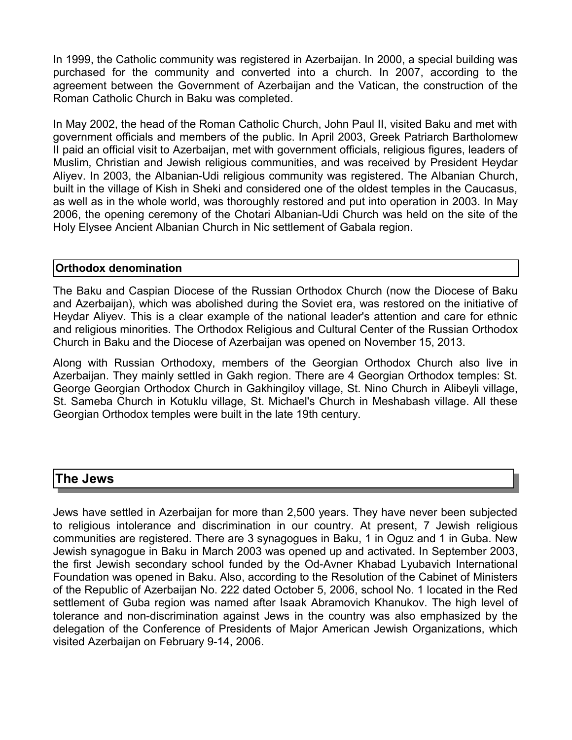In 1999, the Catholic community was registered in Azerbaijan. In 2000, a special building was purchased for the community and converted into a church. In 2007, according to the agreement between the Government of Azerbaijan and the Vatican, the construction of the Roman Catholic Church in Baku was completed.

In May 2002, the head of the Roman Catholic Church, John Paul II, visited Baku and met with government officials and members of the public. In April 2003, Greek Patriarch Bartholomew II paid an official visit to Azerbaijan, met with government officials, religious figures, leaders of Muslim, Christian and Jewish religious communities, and was received by President Heydar Aliyev. In 2003, the Albanian-Udi religious community was registered. The Albanian Church, built in the village of Kish in Sheki and considered one of the oldest temples in the Caucasus, as well as in the whole world, was thoroughly restored and put into operation in 2003. In May 2006, the opening ceremony of the Chotari Albanian-Udi Church was held on the site of the Holy Elysee Ancient Albanian Church in Nic settlement of Gabala region.

#### **Orthodox denomination**

The Baku and Caspian Diocese of the Russian Orthodox Church (now the Diocese of Baku and Azerbaijan), which was abolished during the Soviet era, was restored on the initiative of Heydar Aliyev. This is a clear example of the national leader's attention and care for ethnic and religious minorities. The Orthodox Religious and Cultural Center of the Russian Orthodox Church in Baku and the Diocese of Azerbaijan was opened on November 15, 2013.

Along with Russian Orthodoxy, members of the Georgian Orthodox Church also live in Azerbaijan. They mainly settled in Gakh region. There are 4 Georgian Orthodox temples: St. George Georgian Orthodox Church in Gakhingiloy village, St. Nino Church in Alibeyli village, St. Sameba Church in Kotuklu village, St. Michael's Church in Meshabash village. All these Georgian Orthodox temples were built in the late 19th century.

### **The Jews**

Jews have settled in Azerbaijan for more than 2,500 years. They have never been subjected to religious intolerance and discrimination in our country. At present, 7 Jewish religious communities are registered. There are 3 synagogues in Baku, 1 in Oguz and 1 in Guba. New Jewish synagogue in Baku in March 2003 was opened up and activated. In September 2003, the first Jewish secondary school funded by the Od-Avner Khabad Lyubavich International Foundation was opened in Baku. Also, according to the Resolution of the Cabinet of Ministers of the Republic of Azerbaijan No. 222 dated October 5, 2006, school No. 1 located in the Red settlement of Guba region was named after Isaak Abramovich Khanukov. The high level of tolerance and non-discrimination against Jews in the country was also emphasized by the delegation of the Conference of Presidents of Major American Jewish Organizations, which visited Azerbaijan on February 9-14, 2006.